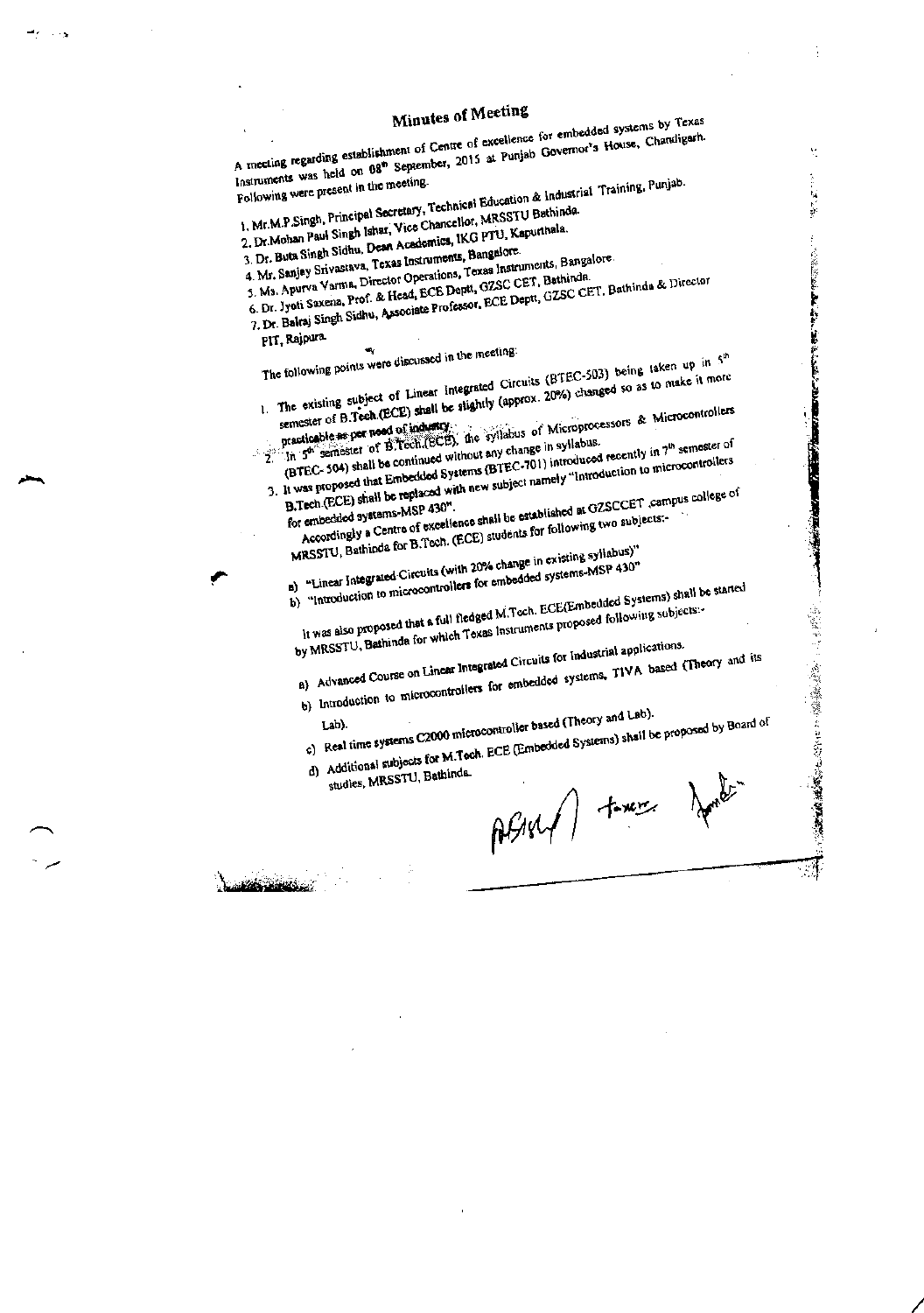| A meeting regarding establishment of Centre of excellence for embedded systems by Texas<br>Instruments was held on 08 <sup>th</sup> September, 2015 at Punjab Governor's House, Chandigarh.<br>Following were present in the meeting.<br>1. Mr.M.P.Singh, Principal Secretary, Technical Education & Industrial Training, Punjab.<br>2. Dr.Mohan Paul Singh Ishar, Vice Chancellor, MRSSTU Bathinda.<br>3. Dr. Buta Singh Sidhu, Dean Academics, IKG PTU, Kapurthala.<br>4. Mr. Sanjay Srivastava, Texas Instruments, Bangalore.<br>5. Ms. Apurva Varma, Director Operations, Texas Instruments, Bangalore.<br>6. Dr. Jyoti Saxena, Prof. & Head, ECE Deptt, GZSC CET, Bathinds.<br>7. Dr. Baltaj Singh Sidhu, Associate Professor, ECE Deptt, GZSC CET. Bathinda & Director<br>PIT, Rajpura.<br>The following points were discussed in the meeting.<br>1. The existing subject of Linear Integrated Circuits (BTEC-503) being taken up in 5th<br>semester of B.Tech.(ECE) shall be slightly (approx. 20%) changed so as to make it more<br>practicable as per need of industry.<br>The syllabus of Microprocessors & Microcontrollers<br>The semester of B.Tech.(ECE), the syllabus of Microprocessors & Microcontrollers<br>3. It was proposed that Embedded Systems (BTEC-701) introduced recently in 7 <sup>th</sup> semester of<br>B.Tech.(ECE) shall be replaced with new subject namely "Introduction to microcontrollers<br>Accordingly a Centre of excellence shall be established at GZSCCET ,campus college of<br>for embedded systems-MSP 430".<br>MRSSTU, Bathinda for B.Tech. (ECE) students for following two subjects:-<br>B) "Linear Integrated Circuits (with 20% change in existing syllabus)"<br>b) "Introduction to microcontrollers for embedded systems-MSP 430"<br>It was also proposed that a full fledged M.Toch. ECE(Embedded Systems) shall be started<br>by MRSSTU, Bathinda for which Texas Instruments proposed following subjects:-<br>a) Advanced Course on Linear Integrated Circuits for Industrial applications.<br>b) Introduction to microcontrollers for embedded systems, TIVA based (Theory and its<br>c) Real time systems C2000 microcontroller based (Theory and Lab).<br>d) Additional subjects for M.Tech. ECE (Embedded Systems) shall be proposed by Board of<br>studies, MRSSTU, Bathinda.<br>ABM/ two foot<br>والمستعرفة الماديان | <b>Minutes of Meeting</b> |
|-------------------------------------------------------------------------------------------------------------------------------------------------------------------------------------------------------------------------------------------------------------------------------------------------------------------------------------------------------------------------------------------------------------------------------------------------------------------------------------------------------------------------------------------------------------------------------------------------------------------------------------------------------------------------------------------------------------------------------------------------------------------------------------------------------------------------------------------------------------------------------------------------------------------------------------------------------------------------------------------------------------------------------------------------------------------------------------------------------------------------------------------------------------------------------------------------------------------------------------------------------------------------------------------------------------------------------------------------------------------------------------------------------------------------------------------------------------------------------------------------------------------------------------------------------------------------------------------------------------------------------------------------------------------------------------------------------------------------------------------------------------------------------------------------------------------------------------------------------------------------------------------------------------------------------------------------------------------------------------------------------------------------------------------------------------------------------------------------------------------------------------------------------------------------------------------------------------------------------------------------------------------------------------------------------------------------------------------------------------------------------------|---------------------------|
|                                                                                                                                                                                                                                                                                                                                                                                                                                                                                                                                                                                                                                                                                                                                                                                                                                                                                                                                                                                                                                                                                                                                                                                                                                                                                                                                                                                                                                                                                                                                                                                                                                                                                                                                                                                                                                                                                                                                                                                                                                                                                                                                                                                                                                                                                                                                                                                     |                           |
|                                                                                                                                                                                                                                                                                                                                                                                                                                                                                                                                                                                                                                                                                                                                                                                                                                                                                                                                                                                                                                                                                                                                                                                                                                                                                                                                                                                                                                                                                                                                                                                                                                                                                                                                                                                                                                                                                                                                                                                                                                                                                                                                                                                                                                                                                                                                                                                     |                           |
|                                                                                                                                                                                                                                                                                                                                                                                                                                                                                                                                                                                                                                                                                                                                                                                                                                                                                                                                                                                                                                                                                                                                                                                                                                                                                                                                                                                                                                                                                                                                                                                                                                                                                                                                                                                                                                                                                                                                                                                                                                                                                                                                                                                                                                                                                                                                                                                     |                           |
|                                                                                                                                                                                                                                                                                                                                                                                                                                                                                                                                                                                                                                                                                                                                                                                                                                                                                                                                                                                                                                                                                                                                                                                                                                                                                                                                                                                                                                                                                                                                                                                                                                                                                                                                                                                                                                                                                                                                                                                                                                                                                                                                                                                                                                                                                                                                                                                     |                           |
|                                                                                                                                                                                                                                                                                                                                                                                                                                                                                                                                                                                                                                                                                                                                                                                                                                                                                                                                                                                                                                                                                                                                                                                                                                                                                                                                                                                                                                                                                                                                                                                                                                                                                                                                                                                                                                                                                                                                                                                                                                                                                                                                                                                                                                                                                                                                                                                     |                           |
|                                                                                                                                                                                                                                                                                                                                                                                                                                                                                                                                                                                                                                                                                                                                                                                                                                                                                                                                                                                                                                                                                                                                                                                                                                                                                                                                                                                                                                                                                                                                                                                                                                                                                                                                                                                                                                                                                                                                                                                                                                                                                                                                                                                                                                                                                                                                                                                     |                           |
|                                                                                                                                                                                                                                                                                                                                                                                                                                                                                                                                                                                                                                                                                                                                                                                                                                                                                                                                                                                                                                                                                                                                                                                                                                                                                                                                                                                                                                                                                                                                                                                                                                                                                                                                                                                                                                                                                                                                                                                                                                                                                                                                                                                                                                                                                                                                                                                     |                           |
|                                                                                                                                                                                                                                                                                                                                                                                                                                                                                                                                                                                                                                                                                                                                                                                                                                                                                                                                                                                                                                                                                                                                                                                                                                                                                                                                                                                                                                                                                                                                                                                                                                                                                                                                                                                                                                                                                                                                                                                                                                                                                                                                                                                                                                                                                                                                                                                     |                           |
|                                                                                                                                                                                                                                                                                                                                                                                                                                                                                                                                                                                                                                                                                                                                                                                                                                                                                                                                                                                                                                                                                                                                                                                                                                                                                                                                                                                                                                                                                                                                                                                                                                                                                                                                                                                                                                                                                                                                                                                                                                                                                                                                                                                                                                                                                                                                                                                     |                           |
|                                                                                                                                                                                                                                                                                                                                                                                                                                                                                                                                                                                                                                                                                                                                                                                                                                                                                                                                                                                                                                                                                                                                                                                                                                                                                                                                                                                                                                                                                                                                                                                                                                                                                                                                                                                                                                                                                                                                                                                                                                                                                                                                                                                                                                                                                                                                                                                     |                           |
|                                                                                                                                                                                                                                                                                                                                                                                                                                                                                                                                                                                                                                                                                                                                                                                                                                                                                                                                                                                                                                                                                                                                                                                                                                                                                                                                                                                                                                                                                                                                                                                                                                                                                                                                                                                                                                                                                                                                                                                                                                                                                                                                                                                                                                                                                                                                                                                     |                           |
|                                                                                                                                                                                                                                                                                                                                                                                                                                                                                                                                                                                                                                                                                                                                                                                                                                                                                                                                                                                                                                                                                                                                                                                                                                                                                                                                                                                                                                                                                                                                                                                                                                                                                                                                                                                                                                                                                                                                                                                                                                                                                                                                                                                                                                                                                                                                                                                     |                           |
|                                                                                                                                                                                                                                                                                                                                                                                                                                                                                                                                                                                                                                                                                                                                                                                                                                                                                                                                                                                                                                                                                                                                                                                                                                                                                                                                                                                                                                                                                                                                                                                                                                                                                                                                                                                                                                                                                                                                                                                                                                                                                                                                                                                                                                                                                                                                                                                     |                           |
|                                                                                                                                                                                                                                                                                                                                                                                                                                                                                                                                                                                                                                                                                                                                                                                                                                                                                                                                                                                                                                                                                                                                                                                                                                                                                                                                                                                                                                                                                                                                                                                                                                                                                                                                                                                                                                                                                                                                                                                                                                                                                                                                                                                                                                                                                                                                                                                     |                           |
|                                                                                                                                                                                                                                                                                                                                                                                                                                                                                                                                                                                                                                                                                                                                                                                                                                                                                                                                                                                                                                                                                                                                                                                                                                                                                                                                                                                                                                                                                                                                                                                                                                                                                                                                                                                                                                                                                                                                                                                                                                                                                                                                                                                                                                                                                                                                                                                     |                           |
|                                                                                                                                                                                                                                                                                                                                                                                                                                                                                                                                                                                                                                                                                                                                                                                                                                                                                                                                                                                                                                                                                                                                                                                                                                                                                                                                                                                                                                                                                                                                                                                                                                                                                                                                                                                                                                                                                                                                                                                                                                                                                                                                                                                                                                                                                                                                                                                     |                           |
|                                                                                                                                                                                                                                                                                                                                                                                                                                                                                                                                                                                                                                                                                                                                                                                                                                                                                                                                                                                                                                                                                                                                                                                                                                                                                                                                                                                                                                                                                                                                                                                                                                                                                                                                                                                                                                                                                                                                                                                                                                                                                                                                                                                                                                                                                                                                                                                     |                           |
|                                                                                                                                                                                                                                                                                                                                                                                                                                                                                                                                                                                                                                                                                                                                                                                                                                                                                                                                                                                                                                                                                                                                                                                                                                                                                                                                                                                                                                                                                                                                                                                                                                                                                                                                                                                                                                                                                                                                                                                                                                                                                                                                                                                                                                                                                                                                                                                     |                           |
|                                                                                                                                                                                                                                                                                                                                                                                                                                                                                                                                                                                                                                                                                                                                                                                                                                                                                                                                                                                                                                                                                                                                                                                                                                                                                                                                                                                                                                                                                                                                                                                                                                                                                                                                                                                                                                                                                                                                                                                                                                                                                                                                                                                                                                                                                                                                                                                     |                           |
|                                                                                                                                                                                                                                                                                                                                                                                                                                                                                                                                                                                                                                                                                                                                                                                                                                                                                                                                                                                                                                                                                                                                                                                                                                                                                                                                                                                                                                                                                                                                                                                                                                                                                                                                                                                                                                                                                                                                                                                                                                                                                                                                                                                                                                                                                                                                                                                     |                           |
|                                                                                                                                                                                                                                                                                                                                                                                                                                                                                                                                                                                                                                                                                                                                                                                                                                                                                                                                                                                                                                                                                                                                                                                                                                                                                                                                                                                                                                                                                                                                                                                                                                                                                                                                                                                                                                                                                                                                                                                                                                                                                                                                                                                                                                                                                                                                                                                     |                           |
|                                                                                                                                                                                                                                                                                                                                                                                                                                                                                                                                                                                                                                                                                                                                                                                                                                                                                                                                                                                                                                                                                                                                                                                                                                                                                                                                                                                                                                                                                                                                                                                                                                                                                                                                                                                                                                                                                                                                                                                                                                                                                                                                                                                                                                                                                                                                                                                     |                           |
|                                                                                                                                                                                                                                                                                                                                                                                                                                                                                                                                                                                                                                                                                                                                                                                                                                                                                                                                                                                                                                                                                                                                                                                                                                                                                                                                                                                                                                                                                                                                                                                                                                                                                                                                                                                                                                                                                                                                                                                                                                                                                                                                                                                                                                                                                                                                                                                     |                           |
|                                                                                                                                                                                                                                                                                                                                                                                                                                                                                                                                                                                                                                                                                                                                                                                                                                                                                                                                                                                                                                                                                                                                                                                                                                                                                                                                                                                                                                                                                                                                                                                                                                                                                                                                                                                                                                                                                                                                                                                                                                                                                                                                                                                                                                                                                                                                                                                     |                           |
|                                                                                                                                                                                                                                                                                                                                                                                                                                                                                                                                                                                                                                                                                                                                                                                                                                                                                                                                                                                                                                                                                                                                                                                                                                                                                                                                                                                                                                                                                                                                                                                                                                                                                                                                                                                                                                                                                                                                                                                                                                                                                                                                                                                                                                                                                                                                                                                     |                           |
|                                                                                                                                                                                                                                                                                                                                                                                                                                                                                                                                                                                                                                                                                                                                                                                                                                                                                                                                                                                                                                                                                                                                                                                                                                                                                                                                                                                                                                                                                                                                                                                                                                                                                                                                                                                                                                                                                                                                                                                                                                                                                                                                                                                                                                                                                                                                                                                     |                           |
|                                                                                                                                                                                                                                                                                                                                                                                                                                                                                                                                                                                                                                                                                                                                                                                                                                                                                                                                                                                                                                                                                                                                                                                                                                                                                                                                                                                                                                                                                                                                                                                                                                                                                                                                                                                                                                                                                                                                                                                                                                                                                                                                                                                                                                                                                                                                                                                     |                           |
|                                                                                                                                                                                                                                                                                                                                                                                                                                                                                                                                                                                                                                                                                                                                                                                                                                                                                                                                                                                                                                                                                                                                                                                                                                                                                                                                                                                                                                                                                                                                                                                                                                                                                                                                                                                                                                                                                                                                                                                                                                                                                                                                                                                                                                                                                                                                                                                     |                           |
|                                                                                                                                                                                                                                                                                                                                                                                                                                                                                                                                                                                                                                                                                                                                                                                                                                                                                                                                                                                                                                                                                                                                                                                                                                                                                                                                                                                                                                                                                                                                                                                                                                                                                                                                                                                                                                                                                                                                                                                                                                                                                                                                                                                                                                                                                                                                                                                     |                           |
|                                                                                                                                                                                                                                                                                                                                                                                                                                                                                                                                                                                                                                                                                                                                                                                                                                                                                                                                                                                                                                                                                                                                                                                                                                                                                                                                                                                                                                                                                                                                                                                                                                                                                                                                                                                                                                                                                                                                                                                                                                                                                                                                                                                                                                                                                                                                                                                     |                           |
|                                                                                                                                                                                                                                                                                                                                                                                                                                                                                                                                                                                                                                                                                                                                                                                                                                                                                                                                                                                                                                                                                                                                                                                                                                                                                                                                                                                                                                                                                                                                                                                                                                                                                                                                                                                                                                                                                                                                                                                                                                                                                                                                                                                                                                                                                                                                                                                     |                           |
|                                                                                                                                                                                                                                                                                                                                                                                                                                                                                                                                                                                                                                                                                                                                                                                                                                                                                                                                                                                                                                                                                                                                                                                                                                                                                                                                                                                                                                                                                                                                                                                                                                                                                                                                                                                                                                                                                                                                                                                                                                                                                                                                                                                                                                                                                                                                                                                     |                           |
|                                                                                                                                                                                                                                                                                                                                                                                                                                                                                                                                                                                                                                                                                                                                                                                                                                                                                                                                                                                                                                                                                                                                                                                                                                                                                                                                                                                                                                                                                                                                                                                                                                                                                                                                                                                                                                                                                                                                                                                                                                                                                                                                                                                                                                                                                                                                                                                     |                           |
|                                                                                                                                                                                                                                                                                                                                                                                                                                                                                                                                                                                                                                                                                                                                                                                                                                                                                                                                                                                                                                                                                                                                                                                                                                                                                                                                                                                                                                                                                                                                                                                                                                                                                                                                                                                                                                                                                                                                                                                                                                                                                                                                                                                                                                                                                                                                                                                     |                           |
|                                                                                                                                                                                                                                                                                                                                                                                                                                                                                                                                                                                                                                                                                                                                                                                                                                                                                                                                                                                                                                                                                                                                                                                                                                                                                                                                                                                                                                                                                                                                                                                                                                                                                                                                                                                                                                                                                                                                                                                                                                                                                                                                                                                                                                                                                                                                                                                     |                           |
|                                                                                                                                                                                                                                                                                                                                                                                                                                                                                                                                                                                                                                                                                                                                                                                                                                                                                                                                                                                                                                                                                                                                                                                                                                                                                                                                                                                                                                                                                                                                                                                                                                                                                                                                                                                                                                                                                                                                                                                                                                                                                                                                                                                                                                                                                                                                                                                     |                           |
|                                                                                                                                                                                                                                                                                                                                                                                                                                                                                                                                                                                                                                                                                                                                                                                                                                                                                                                                                                                                                                                                                                                                                                                                                                                                                                                                                                                                                                                                                                                                                                                                                                                                                                                                                                                                                                                                                                                                                                                                                                                                                                                                                                                                                                                                                                                                                                                     |                           |
|                                                                                                                                                                                                                                                                                                                                                                                                                                                                                                                                                                                                                                                                                                                                                                                                                                                                                                                                                                                                                                                                                                                                                                                                                                                                                                                                                                                                                                                                                                                                                                                                                                                                                                                                                                                                                                                                                                                                                                                                                                                                                                                                                                                                                                                                                                                                                                                     |                           |
|                                                                                                                                                                                                                                                                                                                                                                                                                                                                                                                                                                                                                                                                                                                                                                                                                                                                                                                                                                                                                                                                                                                                                                                                                                                                                                                                                                                                                                                                                                                                                                                                                                                                                                                                                                                                                                                                                                                                                                                                                                                                                                                                                                                                                                                                                                                                                                                     |                           |
|                                                                                                                                                                                                                                                                                                                                                                                                                                                                                                                                                                                                                                                                                                                                                                                                                                                                                                                                                                                                                                                                                                                                                                                                                                                                                                                                                                                                                                                                                                                                                                                                                                                                                                                                                                                                                                                                                                                                                                                                                                                                                                                                                                                                                                                                                                                                                                                     |                           |
|                                                                                                                                                                                                                                                                                                                                                                                                                                                                                                                                                                                                                                                                                                                                                                                                                                                                                                                                                                                                                                                                                                                                                                                                                                                                                                                                                                                                                                                                                                                                                                                                                                                                                                                                                                                                                                                                                                                                                                                                                                                                                                                                                                                                                                                                                                                                                                                     |                           |
|                                                                                                                                                                                                                                                                                                                                                                                                                                                                                                                                                                                                                                                                                                                                                                                                                                                                                                                                                                                                                                                                                                                                                                                                                                                                                                                                                                                                                                                                                                                                                                                                                                                                                                                                                                                                                                                                                                                                                                                                                                                                                                                                                                                                                                                                                                                                                                                     |                           |
|                                                                                                                                                                                                                                                                                                                                                                                                                                                                                                                                                                                                                                                                                                                                                                                                                                                                                                                                                                                                                                                                                                                                                                                                                                                                                                                                                                                                                                                                                                                                                                                                                                                                                                                                                                                                                                                                                                                                                                                                                                                                                                                                                                                                                                                                                                                                                                                     |                           |
|                                                                                                                                                                                                                                                                                                                                                                                                                                                                                                                                                                                                                                                                                                                                                                                                                                                                                                                                                                                                                                                                                                                                                                                                                                                                                                                                                                                                                                                                                                                                                                                                                                                                                                                                                                                                                                                                                                                                                                                                                                                                                                                                                                                                                                                                                                                                                                                     |                           |
|                                                                                                                                                                                                                                                                                                                                                                                                                                                                                                                                                                                                                                                                                                                                                                                                                                                                                                                                                                                                                                                                                                                                                                                                                                                                                                                                                                                                                                                                                                                                                                                                                                                                                                                                                                                                                                                                                                                                                                                                                                                                                                                                                                                                                                                                                                                                                                                     |                           |
|                                                                                                                                                                                                                                                                                                                                                                                                                                                                                                                                                                                                                                                                                                                                                                                                                                                                                                                                                                                                                                                                                                                                                                                                                                                                                                                                                                                                                                                                                                                                                                                                                                                                                                                                                                                                                                                                                                                                                                                                                                                                                                                                                                                                                                                                                                                                                                                     |                           |
|                                                                                                                                                                                                                                                                                                                                                                                                                                                                                                                                                                                                                                                                                                                                                                                                                                                                                                                                                                                                                                                                                                                                                                                                                                                                                                                                                                                                                                                                                                                                                                                                                                                                                                                                                                                                                                                                                                                                                                                                                                                                                                                                                                                                                                                                                                                                                                                     |                           |

 $\hat{\mathcal{A}}$ 

 $\frac{1}{2}$ 

 $\frac{1}{3}$ 

 $\frac{1}{\sqrt{2}}$ 

 $\label{eq:2} \frac{d\mathbf{r}}{dt} = \frac{d\mathbf{r}}{dt}$ 

 $\frac{1}{2}$ 

 $\ddot{\cdot}$ 

 $\ddot{\phantom{0}}$ 

 $\sim$   $\sim$ 

 $\overline{\phantom{a}}$